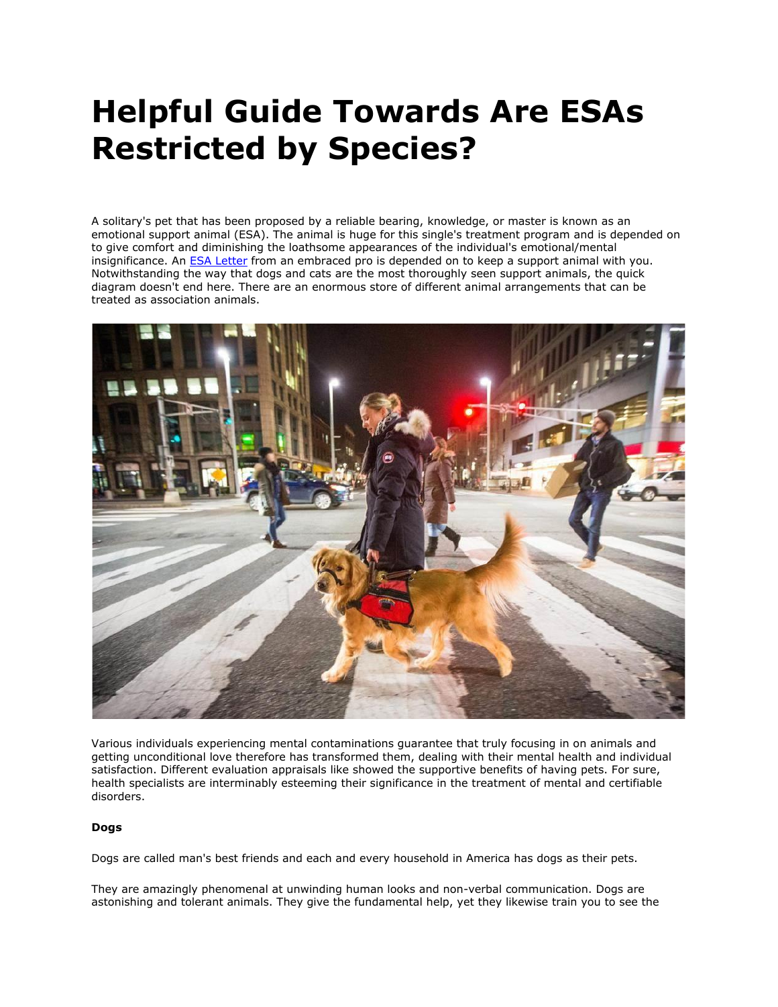# **Helpful Guide Towards Are ESAs Restricted by Species?**

A solitary's pet that has been proposed by a reliable bearing, knowledge, or master is known as an emotional support animal (ESA). The animal is huge for this single's treatment program and is depended on to give comfort and diminishing the loathsome appearances of the individual's emotional/mental insignificance. An **[ESA Letter](https://myesaletter.net/) from an embraced pro is depended on to keep a support animal with you.** Notwithstanding the way that dogs and cats are the most thoroughly seen support animals, the quick diagram doesn't end here. There are an enormous store of different animal arrangements that can be treated as association animals.



Various individuals experiencing mental contaminations guarantee that truly focusing in on animals and getting unconditional love therefore has transformed them, dealing with their mental health and individual satisfaction. Different evaluation appraisals like showed the supportive benefits of having pets. For sure, health specialists are interminably esteeming their significance in the treatment of mental and certifiable disorders.

# **Dogs**

Dogs are called man's best friends and each and every household in America has dogs as their pets.

They are amazingly phenomenal at unwinding human looks and non-verbal communication. Dogs are astonishing and tolerant animals. They give the fundamental help, yet they likewise train you to see the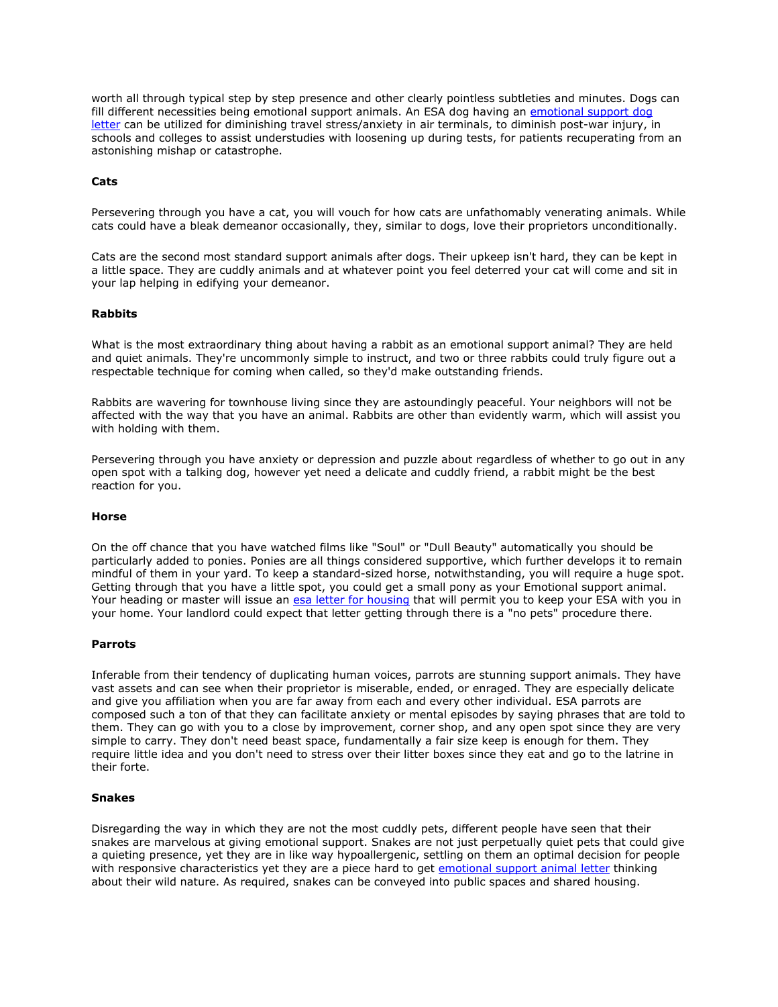worth all through typical step by step presence and other clearly pointless subtleties and minutes. Dogs can fill different necessities being emotional support animals. An ESA dog having an [emotional support dog](https://myesaletter.net/)  [letter](https://myesaletter.net/) can be utilized for diminishing travel stress/anxiety in air terminals, to diminish post-war injury, in schools and colleges to assist understudies with loosening up during tests, for patients recuperating from an astonishing mishap or catastrophe.

## **Cats**

Persevering through you have a cat, you will vouch for how cats are unfathomably venerating animals. While cats could have a bleak demeanor occasionally, they, similar to dogs, love their proprietors unconditionally.

Cats are the second most standard support animals after dogs. Their upkeep isn't hard, they can be kept in a little space. They are cuddly animals and at whatever point you feel deterred your cat will come and sit in your lap helping in edifying your demeanor.

## **Rabbits**

What is the most extraordinary thing about having a rabbit as an emotional support animal? They are held and quiet animals. They're uncommonly simple to instruct, and two or three rabbits could truly figure out a respectable technique for coming when called, so they'd make outstanding friends.

Rabbits are wavering for townhouse living since they are astoundingly peaceful. Your neighbors will not be affected with the way that you have an animal. Rabbits are other than evidently warm, which will assist you with holding with them.

Persevering through you have anxiety or depression and puzzle about regardless of whether to go out in any open spot with a talking dog, however yet need a delicate and cuddly friend, a rabbit might be the best reaction for you.

#### **Horse**

On the off chance that you have watched films like "Soul" or "Dull Beauty" automatically you should be particularly added to ponies. Ponies are all things considered supportive, which further develops it to remain mindful of them in your yard. To keep a standard-sized horse, notwithstanding, you will require a huge spot. Getting through that you have a little spot, you could get a small pony as your Emotional support animal. Your heading or master will issue an [esa letter for housing](https://myesaletter.net/) that will permit you to keep your ESA with you in your home. Your landlord could expect that letter getting through there is a "no pets" procedure there.

#### **Parrots**

Inferable from their tendency of duplicating human voices, parrots are stunning support animals. They have vast assets and can see when their proprietor is miserable, ended, or enraged. They are especially delicate and give you affiliation when you are far away from each and every other individual. ESA parrots are composed such a ton of that they can facilitate anxiety or mental episodes by saying phrases that are told to them. They can go with you to a close by improvement, corner shop, and any open spot since they are very simple to carry. They don't need beast space, fundamentally a fair size keep is enough for them. They require little idea and you don't need to stress over their litter boxes since they eat and go to the latrine in their forte.

# **Snakes**

Disregarding the way in which they are not the most cuddly pets, different people have seen that their snakes are marvelous at giving emotional support. Snakes are not just perpetually quiet pets that could give a quieting presence, yet they are in like way hypoallergenic, settling on them an optimal decision for people with responsive characteristics yet they are a piece hard to get [emotional support animal letter](https://myesaletter.net/) thinking about their wild nature. As required, snakes can be conveyed into public spaces and shared housing.